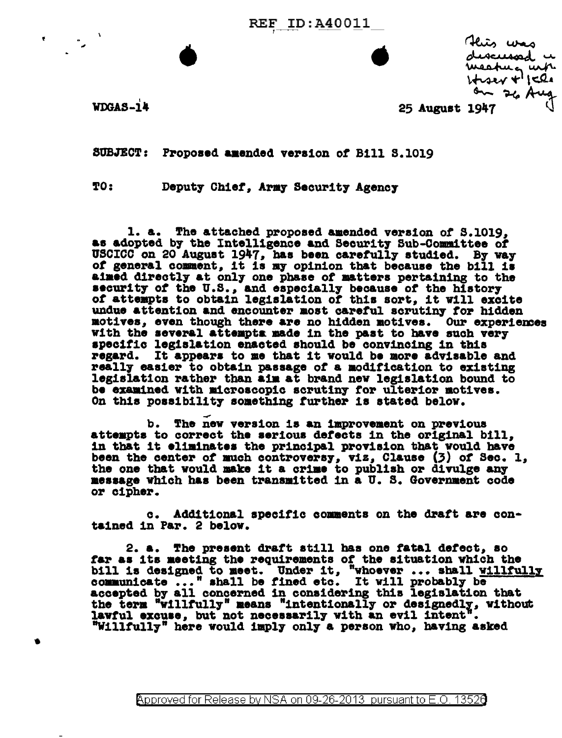**REF ID:A40011** 

Heis was discussed u meatura urb.  $1 + 224 + 1524$ on 26 Aug

**WDGAS-14** 

25 August 1947

SUBJECT: Proposed amended version of Bill S.1019

TO: Deputy Chief, Army Security Agency

1. a. The attached proposed amended version of S.1019, as adopted by the Intelligence and Security Sub-Committee of USCICC on 20 August 1947, has been carefully studied. By way of general comment, it is my opinion that because the bill is aimed directly at only one phase of matters pertaining to the security of the U.S., and especially because of the history of attempts to obtain legislation of this sort, it will excite undue attention and encounter most careful scrutiny for hidden motives, even though there are no hidden motives. Our experiences with the several attempts made in the past to have such very specific legislation enacted should be convincing in this regard. It appears to me that it would be more advisable and really easier to obtain passage of a modification to existing legislation rather than aim at brand new legislation bound to be examined with microscopic scrutiny for ulterior motives. On this possibility something further is stated below.

b. The new version is an improvement on previous attempts to correct the serious defects in the original bill, in that it eliminates the principal provision that would have been the center of much controversy, viz, Clause (3) of Sec. 1, the one that would make it a crime to publish or divulge any message which has been transmitted in a U. S. Government code or cipher.

c. Additional specific comments on the draft are contained in Par. 2 below.

2. a. The present draft still has one fatal defect. so far as its meeting the requirements of the situation which the bill is designed to meet. Under it, "whoever ... shall willfully communicate ..." shall be fined etc. It will probably be accepted by all concerned in considering this legislation that the term "willfully" means "intentionally or designedly, without<br>lawful excuse, but not necessarily with an evil intent". "Willfully" here would imply only a person who, having asked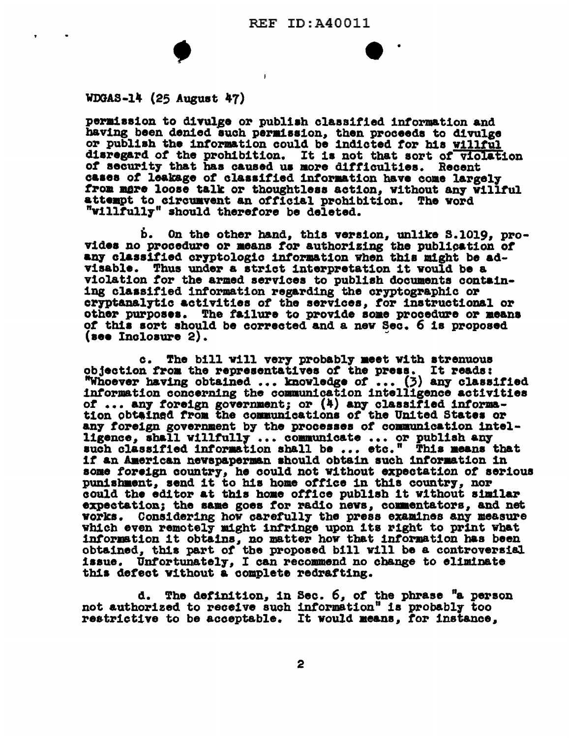$\mathbf{I}$ 

## $WDGAS-14$  (25 August 47)

 $\bullet$ 

permission to divulge or publish classified information and having been denied such permission, then proceeds to divulge or publish the information could be indicted for his willful disregard of the prohibition. It is not that sort of violation of security that has caused us more difficulties. Recent cases of leakage of classified information have come largely from mere loose talk or thoughtless action. without any willful attempt to circumvent an official prohibition. The word "willfully" should therefore be deleted.

b. On the other hand, this version, unlike S.1019, provides no procedure or means for authorizing the publication of any classified cryptologic information when this might be advisable. Thus under a strict interpretation it would be a violation for the armed services to publish documents containing classified information regarding the cryptographic or cryptanalytic activities of the services, for instructional or other purposes. The failure to provide some procedure or means of this sort should be corrected and a new Sec. 6 is proposed  $(see Inclosure 2).$ 

The bill will very probably meet with strenuous  $c_{\bullet}$ objection from the representatives of the press. It reads:<br>"Whoever having obtained ... knowledge of ... (3) any classified information concerning the communication intelligence activities of ... any foreign government; or (4) any classified information obtained from the communications of the United States or any foreign government by the processes of communication intelligence, shall willfully ... communicate ... or publish any<br>such classified information shall be ... etc." This means that if an American newspaperman should obtain such information in some foreign country, he could not without expectation of serious punishment, send it to his home office in this country, nor could the editor at this home office publish it without similar expectation; the same goes for radio news, commentators, and net works. Considering how carefully the press examines any measure which even remotely might infringe upon its right to print what information it obtains, no matter how that information has been obtained, this part of the proposed bill will be a controversial issue. Unfortunately, I can recommend no change to eliminate this defect without a complete redrafting.

d. The definition, in Sec. 6, of the phrase "a person not authorized to receive such information" is probably too restrictive to be acceptable. It would means, for instance,

2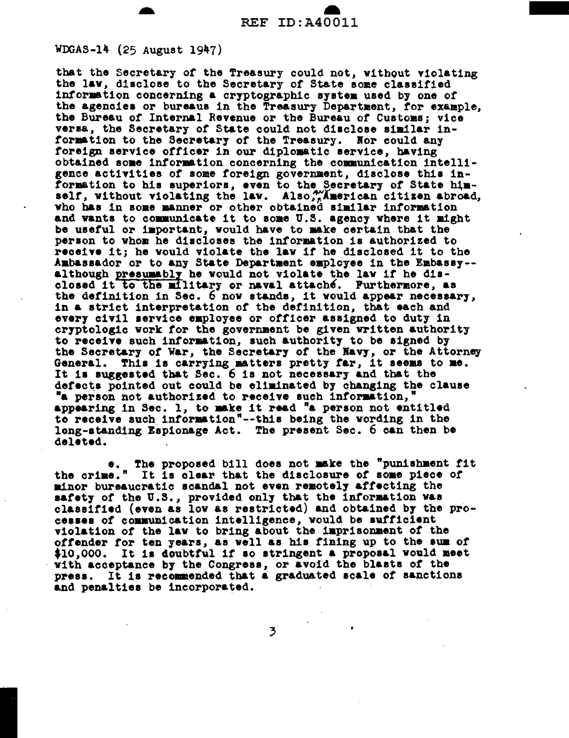## WDGAS-14 (25 August 1947)

that the Secretary of the Treasury could not, without violating the law, disclose to the Secretary of State some classified information concerning a cryptographic system used by one of the agencies or bureaus in the Treasury Department, for example, the Bureau of Internal Revenue or the Bureau of Customs; vice versa, the Secretary of State could not disclose similar information to the Secretary of the Treasury. Nor could any foreign service officer in our diplomatic service, having obtained some information concerning the communication intelligence activities of some foreign government, disclose this information to his superiors, even to the Secretary of State him-<br>self, without violating the law. Also, Manerican citizen abroad, who has in some manner or other obtained similar information and wants to communicate it to some U.S. agency where it might be useful or important, would have to make certain that the person to whom he discloses the information is authorized to receive it; he would violate the law if he disclosed it to the Ambassador or to any State Department employee in the Embassy-although presumably he would not violate the law if he disclosed it to the military or naval attaché. Furthermore, as the definition in Sec. 6 now stands, it would appear necessary, in a strict interpretation of the definition, that each and every civil service employee or officer assigned to duty in cryptologic work for the government be given written authority to receive such information, such authority to be signed by the Secretary of War, the Secretary of the Navy, or the Attorney General. This is carrying matters pretty far, it seems to me. It is suggested that Sec. 6 is not necessary and that the defects pointed out could be eliminated by changing the clause "a person not authorized to receive such information, appearing in Sec. 1, to make it read "a person not entitled to receive such information"--this being the wording in the long-standing Espionage Act. The present Sec. 6 can then be deleted.

The proposed bill does not make the "punishment fit  $\bullet$  . the crime." It is clear that the disclosure of some piece of minor bureaucratic scandal not even remotely affecting the safety of the U.S., provided only that the information was<br>classified (even as low as restricted) and obtained by the processes of communication intelligence, would be sufficient violation of the law to bring about the imprisonment of the offender for ten years, as well as his fining up to the sum of \$10,000. It is doubtful if so stringent a proposal would meet with acceptance by the Congress, or avoid the blasts of the press. It is recommended that a graduated scale of sanctions and penalties be incorporated.

 $\overline{3}$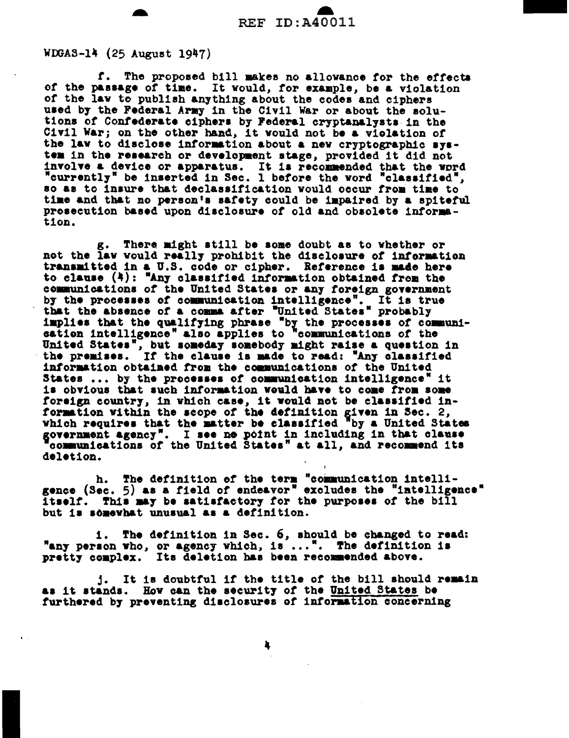## WDGAS-14 (25 August 1947)

f. The proposed bill makes no allowance for the effects of the passage of time. It would, for example, be a violation of the law to publish anything about the codes and ciphers used by the Federal Army in the Civil War or about the solutions of Confederate ciphers by Federal cryptanalysts in the Civil War; on the other hand, it would not be a violation of the law to disclose information about a new cryptographic system in the research or development stage, provided it did not involve a device or apparatus. It is recommended that the word "currently" be inserted in Sec. 1 before the word "classified", so as to insure that declassification would occur from time to time and that no person's safety could be impaired by a spiteful prosecution based upon disclosure of old and obsolete information.

g. There might still be some doubt as to whether or not the law would really prohibit the disclosure of information transmitted in a U.S. code or cipher. Reference is made here to clause (4): "Any classified information obtained from the communications of the United States or any foreign government by the processes of communication intelligence". It is true<br>that the absence of a comma after "United States" probably implies that the qualifying phrase "by the processes of communi-<br>cation intelligence" also applies to "communications of the United States", but someday somebody might raise a question in the premises. If the clause is made to read: "Any classified information obtained from the communications of the United States ... by the processes of communication intelligence" it is obvious that such information would have to come from some foreign country, in which case, it would not be classified information within the scope of the definition given in Sec. 2, which requires that the matter be classified by a United States government agency". I see no point in including in that clause<br>"communications of the United States" at all, and recommend its deletion.

h. The definition of the term "communication intelli-<br>gence (Sec. 5) as a field of endeavor" excludes the "intelligence" itself. This may be satisfactory for the purposes of the bill but is somewhat unusual as a definition.

The definition in Sec. 6, should be changed to read: 1. . "any person who, or agency which, is...". The definition is pretty complex. Its deletion has been recommended above.

j. It is doubtful if the title of the bill should remain as it stands. How can the security of the United States be furthered by preventing disclosures of information concerning

4